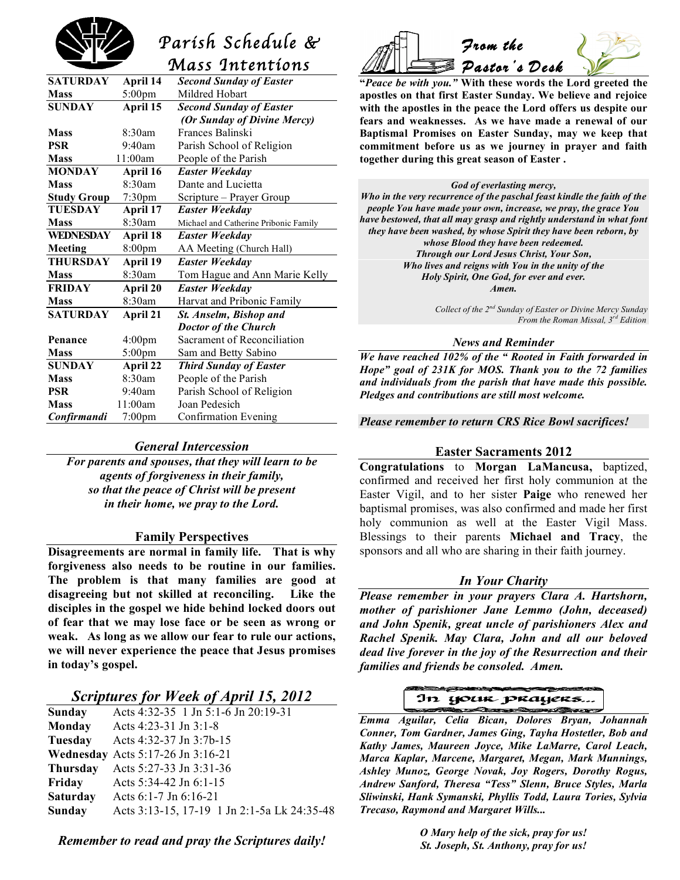

# *Parish Schedule & Mass Intentions*

| <b>SATURDAY</b>    | April 14           | <b>Second Sunday of Easter</b>        |
|--------------------|--------------------|---------------------------------------|
| <b>Mass</b>        | $5:00 \text{pm}$   | Mildred Hobart                        |
| <b>SUNDAY</b>      | April 15           | <b>Second Sunday of Easter</b>        |
|                    |                    | (Or Sunday of Divine Mercy)           |
| <b>Mass</b>        | 8:30am             | Frances Balinski                      |
| <b>PSR</b>         | 9:40am             | Parish School of Religion             |
| <b>Mass</b>        | 11:00am            | People of the Parish                  |
| <b>MONDAY</b>      | April 16           | Easter Weekday                        |
| <b>Mass</b>        | $8.30$ am          | Dante and Lucietta                    |
| <b>Study Group</b> | 7:30 <sub>pm</sub> | Scripture – Prayer Group              |
| <b>TUESDAY</b>     | April 17           | <b>Easter Weekday</b>                 |
| <b>Mass</b>        | 8:30am             | Michael and Catherine Pribonic Family |
| <b>WEDNESDAY</b>   | April 18           | Easter Weekday                        |
| <b>Meeting</b>     | 8:00pm             | AA Meeting (Church Hall)              |
| <b>THURSDAY</b>    | April 19           | Easter Weekday                        |
| <b>Mass</b>        | 8:30am             | Tom Hague and Ann Marie Kelly         |
| <b>FRIDAY</b>      | April 20           | <b>Easter Weekday</b>                 |
| <b>Mass</b>        | 8:30am             | Harvat and Pribonic Family            |
| <b>SATURDAY</b>    | <b>April 21</b>    | St. Anselm, Bishop and                |
|                    |                    | <b>Doctor of the Church</b>           |
| Penance            | 4:00 <sub>pm</sub> | Sacrament of Reconciliation           |
| <b>Mass</b>        | $5:00$ pm          | Sam and Betty Sabino                  |
| <b>SUNDAY</b>      | April 22           | <b>Third Sunday of Easter</b>         |
| <b>Mass</b>        | 8:30am             | People of the Parish                  |
| <b>PSR</b>         | 9:40am             | Parish School of Religion             |
| <b>Mass</b>        | 11:00am            | Joan Pedesich                         |
| Confirmandi        | $7:00$ pm          | <b>Confirmation Evening</b>           |
|                    |                    |                                       |

#### *General Intercession*

*For parents and spouses, that they will learn to be agents of forgiveness in their family, so that the peace of Christ will be present in their home, we pray to the Lord.*

#### **Family Perspectives**

**Disagreements are normal in family life. That is why forgiveness also needs to be routine in our families. The problem is that many families are good at disagreeing but not skilled at reconciling. Like the disciples in the gospel we hide behind locked doors out of fear that we may lose face or be seen as wrong or weak. As long as we allow our fear to rule our actions, we will never experience the peace that Jesus promises in today's gospel.**

## *Scriptures for Week of April 15, 2012*

| <b>Sunday</b>   | Acts 4:32-35 1 Jn 5:1-6 Jn 20:19-31         |
|-----------------|---------------------------------------------|
| Monday          | Acts 4:23-31 Jn 3:1-8                       |
| Tuesday         | Acts 4:32-37 Jn 3:7b-15                     |
|                 | <b>Wednesday</b> Acts 5:17-26 Jn 3:16-21    |
| <b>Thursday</b> | Acts 5:27-33 Jn 3:31-36                     |
| Friday          | Acts $5:34-42$ Jn $6:1-15$                  |
| <b>Saturday</b> | Acts $6:1-7$ Jn $6:16-21$                   |
| Sunday          | Acts 3:13-15, 17-19 1 Jn 2:1-5a Lk 24:35-48 |
|                 |                                             |

*From the Pastor's Desk* 

**"***Peace be with you."* **With these words the Lord greeted the apostles on that first Easter Sunday. We believe and rejoice with the apostles in the peace the Lord offers us despite our fears and weaknesses. As we have made a renewal of our Baptismal Promises on Easter Sunday, may we keep that commitment before us as we journey in prayer and faith together during this great season of Easter .**

#### *God of everlasting mercy,*

*Who in the very recurrence of the paschal feast kindle the faith of the people You have made your own, increase, we pray, the grace You have bestowed, that all may grasp and rightly understand in what font they have been washed, by whose Spirit they have been reborn, by whose Blood they have been redeemed. Through our Lord Jesus Christ, Your Son, Who lives and reigns with You in the unity of the Holy Spirit, One God, for ever and ever. Amen.*

> *Collect of the 2nd Sunday of Easter or Divine Mercy Sunday From the Roman Missal, 3rd Edition*

#### *News and Reminder*

*We have reached 102% of the " Rooted in Faith forwarded in Hope" goal of 231K for MOS. Thank you to the 72 families and individuals from the parish that have made this possible. Pledges and contributions are still most welcome.*

*Please remember to return CRS Rice Bowl sacrifices!*

#### **Easter Sacraments 2012**

**Congratulations** to **Morgan LaMancusa,** baptized, confirmed and received her first holy communion at the Easter Vigil, and to her sister **Paige** who renewed her baptismal promises, was also confirmed and made her first holy communion as well at the Easter Vigil Mass. Blessings to their parents **Michael and Tracy**, the sponsors and all who are sharing in their faith journey.

## *In Your Charity*

*Please remember in your prayers Clara A. Hartshorn, mother of parishioner Jane Lemmo (John, deceased) and John Spenik, great uncle of parishioners Alex and Rachel Spenik. May Clara, John and all our beloved dead live forever in the joy of the Resurrection and their families and friends be consoled. Amen.*

# In your prayers.

 *Emma Aguilar, Celia Bican, Dolores Bryan, Johannah Conner, Tom Gardner, James Ging, Tayha Hostetler, Bob and Kathy James, Maureen Joyce, Mike LaMarre, Carol Leach, Marca Kaplar, Marcene, Margaret, Megan, Mark Munnings, Ashley Munoz, George Novak, Joy Rogers, Dorothy Rogus, Andrew Sanford, Theresa "Tess" Slenn, Bruce Styles, Marla Sliwinski, Hank Symanski, Phyllis Todd, Laura Tories, Sylvia Trecaso, Raymond and Margaret Wills...*

> *O Mary help of the sick, pray for us! St. Joseph, St. Anthony, pray for us!*

*Remember to read and pray the Scriptures daily!*